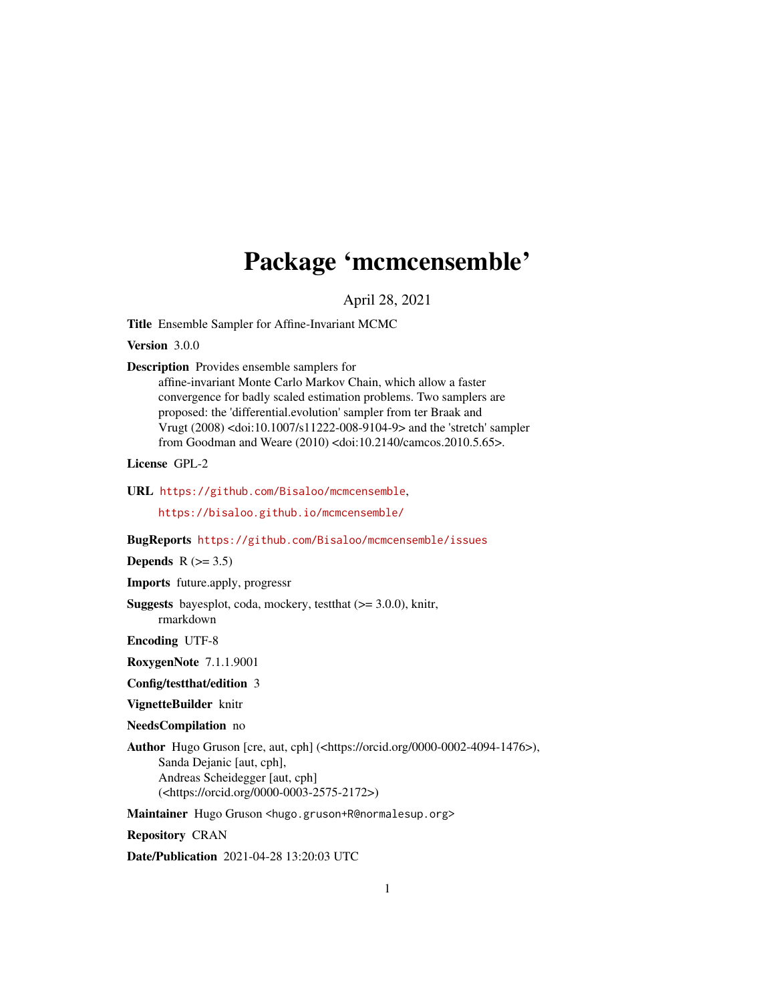## Package 'mcmcensemble'

April 28, 2021

<span id="page-0-0"></span>Title Ensemble Sampler for Affine-Invariant MCMC

Version 3.0.0

Description Provides ensemble samplers for

affine-invariant Monte Carlo Markov Chain, which allow a faster convergence for badly scaled estimation problems. Two samplers are proposed: the 'differential.evolution' sampler from ter Braak and Vrugt (2008) <doi:10.1007/s11222-008-9104-9> and the 'stretch' sampler from Goodman and Weare (2010) <doi:10.2140/camcos.2010.5.65>.

License GPL-2

URL <https://github.com/Bisaloo/mcmcensemble>,

<https://bisaloo.github.io/mcmcensemble/>

BugReports <https://github.com/Bisaloo/mcmcensemble/issues>

Depends  $R$  ( $>= 3.5$ )

Imports future.apply, progressr

Suggests bayesplot, coda, mockery, testthat (>= 3.0.0), knitr, rmarkdown

Encoding UTF-8

RoxygenNote 7.1.1.9001

Config/testthat/edition 3

VignetteBuilder knitr

NeedsCompilation no

Author Hugo Gruson [cre, aut, cph] (<https://orcid.org/0000-0002-4094-1476>), Sanda Dejanic [aut, cph], Andreas Scheidegger [aut, cph] (<https://orcid.org/0000-0003-2575-2172>)

Maintainer Hugo Gruson <hugo.gruson+R@normalesup.org>

Repository CRAN

Date/Publication 2021-04-28 13:20:03 UTC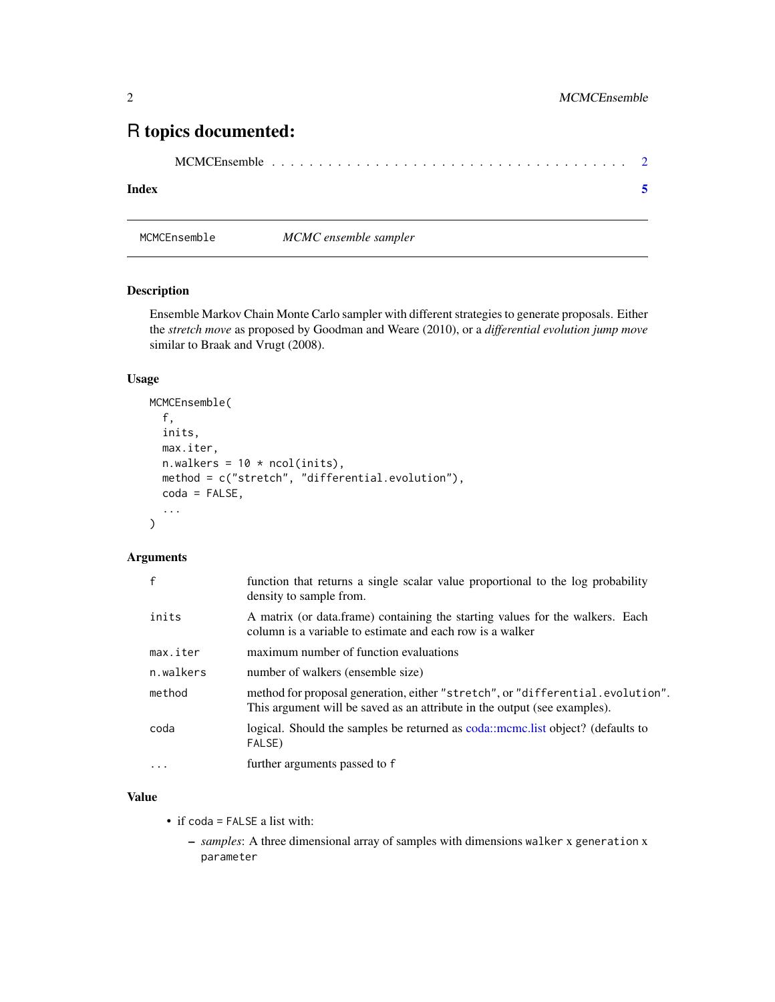### <span id="page-1-0"></span>R topics documented:

|--|--|--|

#### **Index** [5](#page-4-0). The second state of the second state of the second state of the second state of the second state of the second state of the second state of the second state of the second state of the second state of the second

MCMCEnsemble *MCMC ensemble sampler*

#### Description

Ensemble Markov Chain Monte Carlo sampler with different strategies to generate proposals. Either the *stretch move* as proposed by Goodman and Weare (2010), or a *differential evolution jump move* similar to Braak and Vrugt (2008).

#### Usage

```
MCMCEnsemble(
  f,
  inits,
 max.iter,
 n.walkers = 10 * \text{ncol}(inits),
 method = c("stretch", "differential.evolution"),
  coda = FALSE,
  ...
)
```
#### Arguments

| $\mathbf{f}$ | function that returns a single scalar value proportional to the log probability<br>density to sample from.                                                  |
|--------------|-------------------------------------------------------------------------------------------------------------------------------------------------------------|
| inits        | A matrix (or data.frame) containing the starting values for the walkers. Each<br>column is a variable to estimate and each row is a walker                  |
| max.iter     | maximum number of function evaluations                                                                                                                      |
| n.walkers    | number of walkers (ensemble size)                                                                                                                           |
| method       | method for proposal generation, either "stretch", or "differential.evolution".<br>This argument will be saved as an attribute in the output (see examples). |
| coda         | logical. Should the samples be returned as coda::mcmc.list object? (defaults to<br>FALSE)                                                                   |
| .            | further arguments passed to f                                                                                                                               |

#### Value

- if coda = FALSE a list with:
	- *samples*: A three dimensional array of samples with dimensions walker x generation x parameter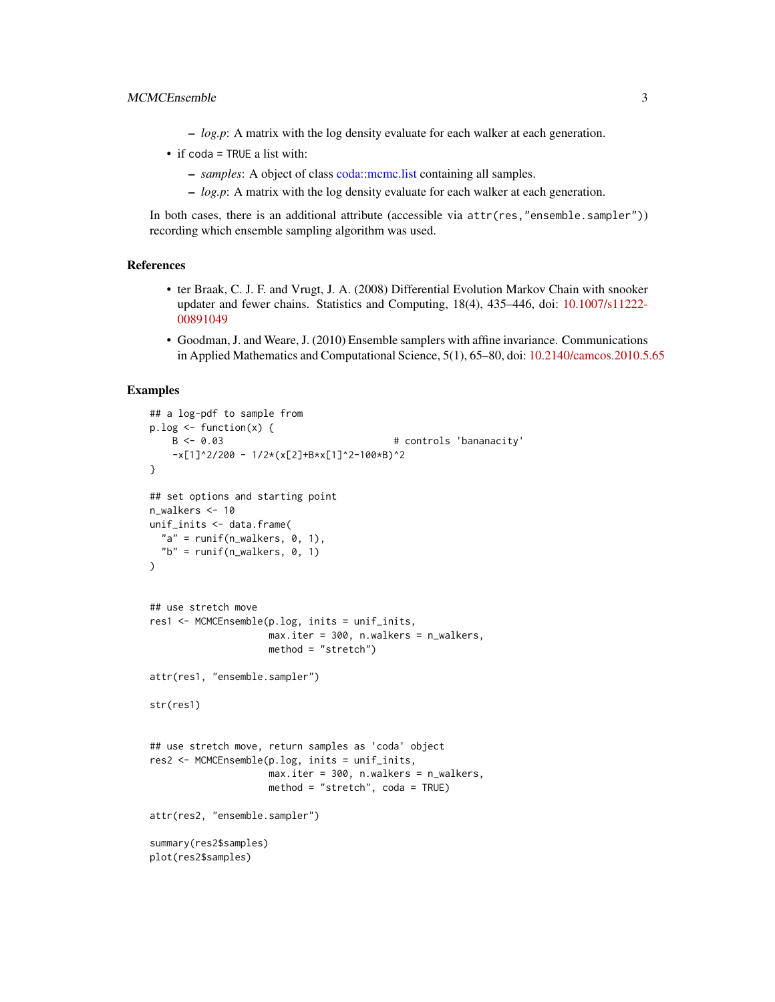- <span id="page-2-0"></span>– *log.p*: A matrix with the log density evaluate for each walker at each generation.
- if coda = TRUE a list with:
	- *samples*: A object of class [coda::mcmc.list](#page-0-0) containing all samples.
	- *log.p*: A matrix with the log density evaluate for each walker at each generation.

In both cases, there is an additional attribute (accessible via attr(res,"ensemble.sampler")) recording which ensemble sampling algorithm was used.

#### References

- ter Braak, C. J. F. and Vrugt, J. A. (2008) Differential Evolution Markov Chain with snooker updater and fewer chains. Statistics and Computing, 18(4), 435–446, doi: [10.1007/s11222-](https://doi.org/10.1007/s11222-008-9104-9) [00891049](https://doi.org/10.1007/s11222-008-9104-9)
- Goodman, J. and Weare, J. (2010) Ensemble samplers with affine invariance. Communications in Applied Mathematics and Computational Science, 5(1), 65–80, doi: [10.2140/camcos.2010.5.65](https://doi.org/10.2140/camcos.2010.5.65)

#### Examples

```
## a log-pdf to sample from
p.log \leftarrow function(x) {
    B <- 0.03 # controls 'bananacity'
    -x[1]<sup>2</sup>/200 - 1/2*(x[2]+B*x[1]<sup>2-100*</sup>B)<sup>2</sup>
}
## set options and starting point
n_walkers <- 10
unif_inits <- data.frame(
  "a" = runif(n_walkers, 0, 1),"b" = runif(n_walkers, 0, 1)\mathcal{L}## use stretch move
res1 <- MCMCEnsemble(p.log, inits = unif_inits,
                     max.iter = 300, n.walkers = n_walkers,
                     method = "stretch")
attr(res1, "ensemble.sampler")
str(res1)
## use stretch move, return samples as 'coda' object
res2 <- MCMCEnsemble(p.log, inits = unif_inits,
                     max.iter = 300, n.walkers = n_walkers,
                     method = "stretch", coda = TRUE)
attr(res2, "ensemble.sampler")
summary(res2$samples)
plot(res2$samples)
```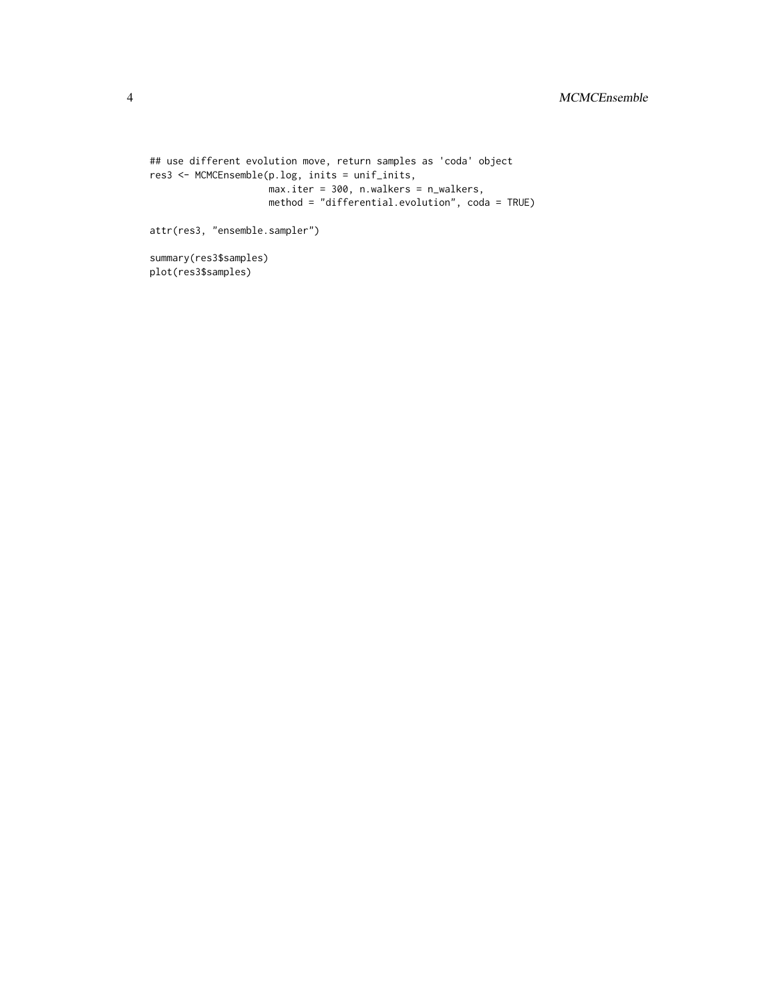```
## use different evolution move, return samples as 'coda' object
res3 <- MCMCEnsemble(p.log, inits = unif_inits,
                    max.iter = 300, n.walkers = n_walkers,
                    method = "differential.evolution", coda = TRUE)
attr(res3, "ensemble.sampler")
```
summary(res3\$samples) plot(res3\$samples)